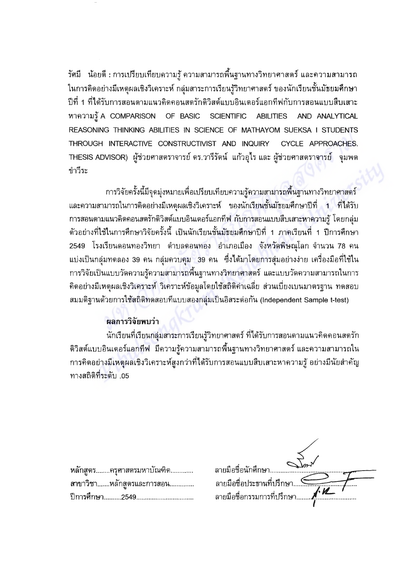วัศมี น้อยดี : การเปรียบเทียบความรู้ ความสามารถพื้นฐานทางวิทยาศาสตร์ และความสามารถ ในการคิดอย่างมีเหตุผลเชิงวิเคราะห์ กลุ่มสาระการเรียนรู้วิทยาศาสตร์ ของนักเรียนชั้นมัธยมศึกษา ปีที่ 1 ที่ได้รับการสอนตามแนวคิดคอนสตรักติวิสต์แบบอินเตอร์แอกทีฟกับการสอนแบบสืบเสาะ หาความวั A COMPARISON OF BASIC SCIENTIFIC ABILITIES AND ANALYTICAL REASONING THINKING ABILITIES IN SCIENCE OF MATHAYOM SUEKSA I STUDENTS THROUGH INTERACTIVE CONSTRUCTIVIST AND INQUIRY CYCLE APPROACHES. THESIS ADVISOR) ผู้ช่วยศาสตราจารย ดร.วารรดน แกวอุเร และ ผู้ช่วยศาสตราจารย จุมพด ขำวีระ

การวิจัยครั้งนี้มีจุดมุ่งหมายเพื่อเปรียบเทียบความรู้ความสามารถพื้นฐานทางวิทยาศาสตร์ และความสามารถในการคิดอย่างมีเหตุผลเชิงวิเคราะห์ ของนักเรียนชั้นมัธยมศึกษาปีที่ 1 ที่ได้รับ การสอนตามแนวคิดคอนสตรักติวิสต์แบบอินเตอร์แอกทีฟ กับการสอนแบบสืบเสาะหาความรู้ โดยกลุ่ม ~ตัวอย่างที่ใช้ในการศึกษาวิจัยครั้งนี้ เป็นนักเรียนชั้นมัธยมศึกษาปีที่ 1 ภาคเรียนที่ 1 ปีการศึกษา 2549 โรงเรียนดอนทองวิทยา ตำบลดอนทอง อำเภอเมือง จังหวัดพิษณุโลก จำนวน 78 คน ี แบ่งเป็นกลุ่มทดลอง 39 คน กลุ่มควบคุม 39 คน ซึ่งได้มาโดยการสุ่มอย่างง่าย เครื่องมือที่ใช้ใน การวิจัยเป็นแบบวัดความรู้ความสามารถพื้นฐานทางวิทยาศาสตร์ และแบบวัดความสามารถในการ คิดอย่างมีเหตุผลเชิงวิเคราะห์ วิเคราะห์ข้อมูลโดยใช้สถิติค่าเฉลี่ย ส่วนเบี่ยงเบนมาตรฐาน ทดสอบ สมมติฐานด้วยการใช้สถิติทดสอบที่แบบสองกลุ่มเป็นอิสระต่อกัน (Independent Sample t-test)

## ผลการวิจัยพบว่<sup>~</sup>

นักเรียนที่เรียนกลุ่มสาระการเรียนรู้วิทยาศาสตร์ ที่ได้รับการสอนตามแนวคิดคอนสตรัก ~ติวิสต์แบบอินเตอร์แอกทีฟ มีความรู้ความสามารถพื้นฐานทางวิทยาศาสตร์ และความสามารถใน การคิดอย่างมีเหตุผลเชิงวิเคราะห์สูงกว่าที่ได้รับการสอนแบบสืบเสาะหาความรู้ อย่างมีนัยสำคัญ . **.**<br>05. หางสถิติที่ระดับ

| หลักสูตรครุศาสตรมหาบัณฑิต                   | ลายมือชื่อนักศึกษา                                                                          |
|---------------------------------------------|---------------------------------------------------------------------------------------------|
| สาขาวิชาหลักสูตรและการสอน<br>ปีการศึกษา2549 | ลายมือชื่อประธานที่ปรึกษา <del></del><br>ลายมือชื่อกรรมการที่ปรึกษา <b>/<sup>. 12</sup></b> |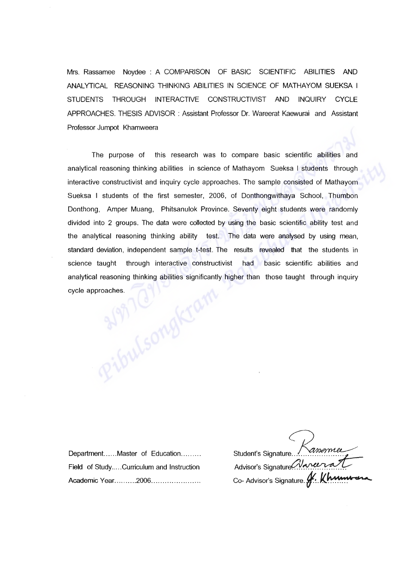Mrs. Rassamee Noydee: A COMPARISON OF BASIC SCIENTIFIC ABILITIES AND ANALYTICAL REASONING THINKING ABILITIES IN SCIENCE OF MATHAYOM SUEKSA I STUDENTS THROUGH INTERACTIVE CONSTRUCTIVIST AND INQUIRY CYCLE APPROACHES. THESIS ADVISOR : Assistant Professor Dr. Wareerat Kaewurai and Assistant Professor Jumpot Khamweera

The purpose of this research was to compare basic scientific abilities and analytical reasoning thinking abilities in science of Mathayom Sueksa I students through interactive constructivist and inquiry cycle approaches. The sample consisted of Mathayom Sueksa I students of the first semester, 2006, of Donthongwithaya School, Thumbon Donthong, Amper Muang, Phitsanulok Province. Seventy eight students were randomly divided into 2 groups. The data were collected by using the basic scientific ability test and the analytical reasoning thinking ability test. The data were analysed by using mean, standard deviation, independent sample t-test. The results revealed that the students in science taught through interactive constructivist had basic scientific abilities and<br>analytical reasoning thinking abilities significantly higher than those taught through inquiry<br>cycle approaches. analytical reasoning thinking abilities significantly higher than those taught through inquiry cycle approaches.

Department......Master of Education......... Field of Study.....Curriculum and Instruction Academic Year..........2006.......................

Student's Signature Kassamuel Advisor's Signature Waren Co- Advisor's Signature. **f.** Khumwen